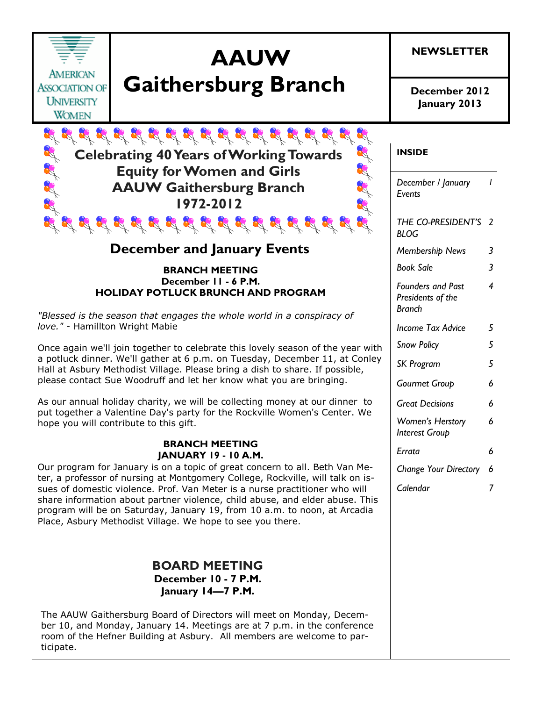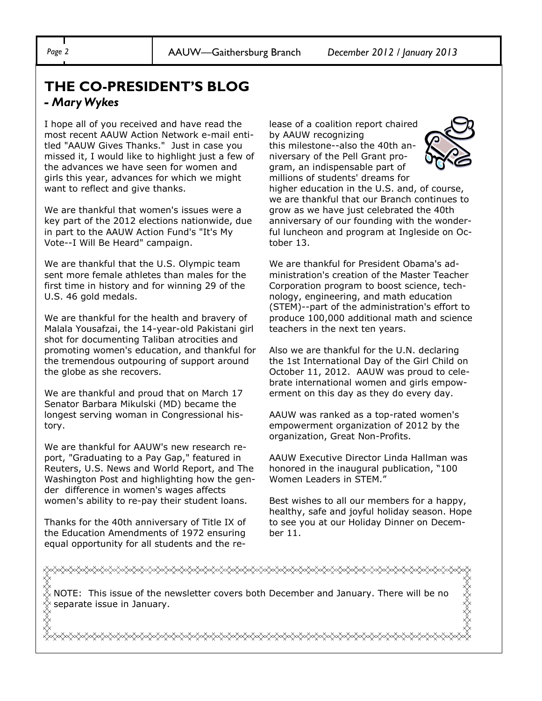*Page 2* AAUW—Gaithersburg Branch *December 2012 / January 2013*

### **THE CO-PRESIDENT'S BLOG** *- Mary Wykes*

I hope all of you received and have read the most recent AAUW Action Network e-mail entitled "AAUW Gives Thanks." Just in case you missed it, I would like to highlight just a few of the advances we have seen for women and girls this year, advances for which we might want to reflect and give thanks.

We are thankful that women's issues were a key part of the 2012 elections nationwide, due in part to the AAUW Action Fund's "It's My Vote--I Will Be Heard" campaign.

We are thankful that the U.S. Olympic team sent more female athletes than males for the first time in history and for winning 29 of the U.S. 46 gold medals.

We are thankful for the health and bravery of Malala Yousafzai, the 14-year-old Pakistani girl shot for documenting Taliban atrocities and promoting women's education, and thankful for the tremendous outpouring of support around the globe as she recovers.

We are thankful and proud that on March 17 Senator Barbara Mikulski (MD) became the longest serving woman in Congressional history.

We are thankful for AAUW's new research report, "Graduating to a Pay Gap," featured in Reuters, U.S. News and World Report, and The Washington Post and highlighting how the gender difference in women's wages affects women's ability to re-pay their student loans.

Thanks for the 40th anniversary of Title IX of the Education Amendments of 1972 ensuring equal opportunity for all students and the release of a coalition report chaired by AAUW recognizing this milestone--also the 40th anniversary of the Pell Grant program, an indispensable part of millions of students' dreams for higher education in the U.S. and, of course, we are thankful that our Branch continues to grow as we have just celebrated the 40th anniversary of our founding with the wonderful luncheon and program at Ingleside on October 13.

We are thankful for President Obama's administration's creation of the Master Teacher Corporation program to boost science, technology, engineering, and math education (STEM)--part of the administration's effort to produce 100,000 additional math and science teachers in the next ten years.

Also we are thankful for the U.N. declaring the 1st International Day of the Girl Child on October 11, 2012. AAUW was proud to celebrate international women and girls empowerment on this day as they do every day.

AAUW was ranked as a top-rated women's empowerment organization of 2012 by the organization, Great Non-Profits.

AAUW Executive Director Linda Hallman was honored in the inaugural publication, "100 Women Leaders in STEM."

Best wishes to all our members for a happy, healthy, safe and joyful holiday season. Hope to see you at our Holiday Dinner on December 11.

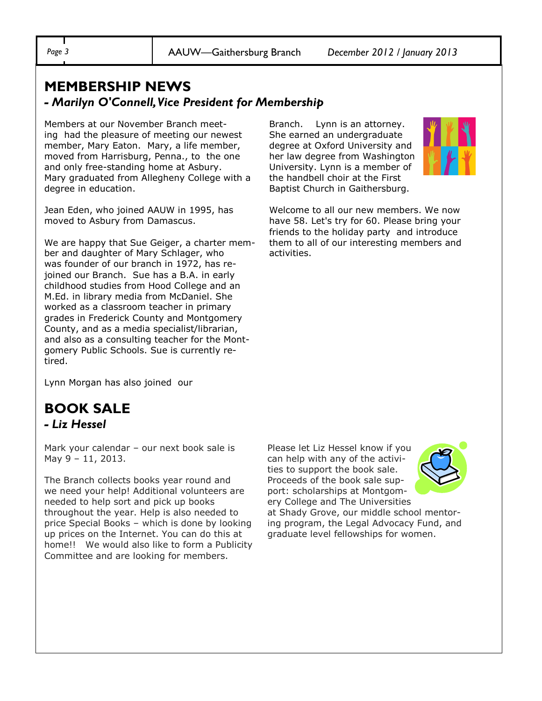*Page 3* AAUW—Gaithersburg Branch *December 2012 / January 2013*

#### **MEMBERSHIP NEWS**  *- Marilyn O'Connell, Vice President for Membership*

Members at our November Branch meeting had the pleasure of meeting our newest member, Mary Eaton. Mary, a life member, moved from Harrisburg, Penna., to the one and only free-standing home at Asbury. Mary graduated from Allegheny College with a degree in education.

Jean Eden, who joined AAUW in 1995, has moved to Asbury from Damascus.

We are happy that Sue Geiger, a charter member and daughter of Mary Schlager, who was founder of our branch in 1972, has rejoined our Branch. Sue has a B.A. in early childhood studies from Hood College and an M.Ed. in library media from McDaniel. She worked as a classroom teacher in primary grades in Frederick County and Montgomery County, and as a media specialist/librarian, and also as a consulting teacher for the Montgomery Public Schools. Sue is currently retired.

Lynn Morgan has also joined our

#### **BOOK SALE**  *- Liz Hessel*

Mark your calendar – our next book sale is May 9 – 11, 2013.

The Branch collects books year round and we need your help! Additional volunteers are needed to help sort and pick up books throughout the year. Help is also needed to price Special Books – which is done by looking up prices on the Internet. You can do this at home!! We would also like to form a Publicity Committee and are looking for members.

Branch. Lynn is an attorney. She earned an undergraduate degree at Oxford University and her law degree from Washington University. Lynn is a member of the handbell choir at the First Baptist Church in Gaithersburg.



Welcome to all our new members. We now have 58. Let's try for 60. Please bring your friends to the holiday party and introduce them to all of our interesting members and activities.

Please let Liz Hessel know if you can help with any of the activities to support the book sale. Proceeds of the book sale support: scholarships at Montgomery College and The Universities



at Shady Grove, our middle school mentoring program, the Legal Advocacy Fund, and graduate level fellowships for women.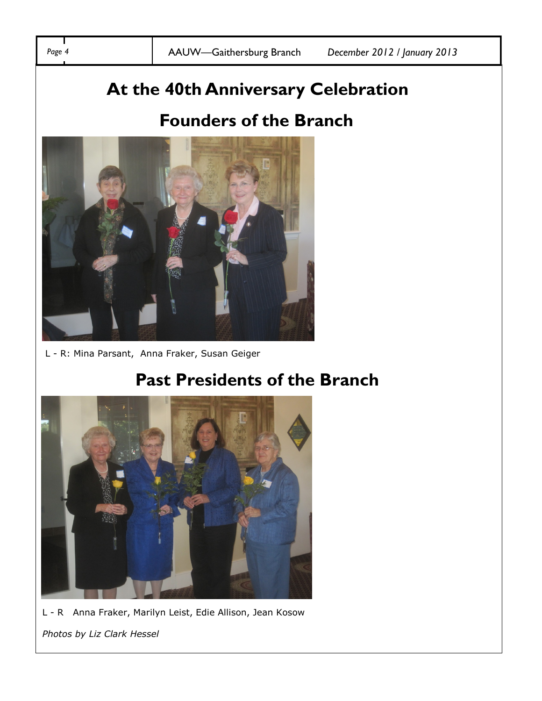# **At the 40th Anniversary Celebration**

## **Founders of the Branch**



L - R: Mina Parsant, Anna Fraker, Susan Geiger

## **Past Presidents of the Branch**



L - R Anna Fraker, Marilyn Leist, Edie Allison, Jean Kosow

*Photos by Liz Clark Hessel*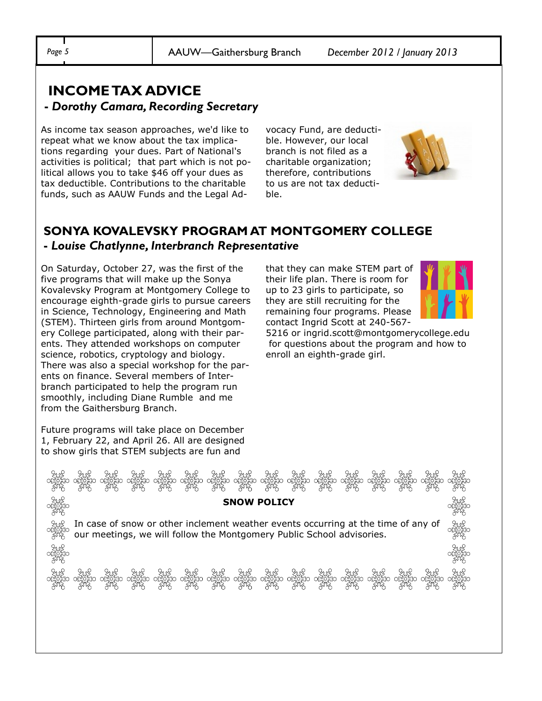*Page 5* AAUW—Gaithersburg Branch *December 2012 / January 2013*

#### **INCOME TAX ADVICE -** *Dorothy Camara, Recording Secretary*

As income tax season approaches, we'd like to repeat what we know about the tax implications regarding your dues. Part of National's activities is political; that part which is not political allows you to take \$46 off your dues as tax deductible. Contributions to the charitable funds, such as AAUW Funds and the Legal Advocacy Fund, are deductible. However, our local branch is not filed as a charitable organization; therefore, contributions to us are not tax deductible.



#### **SONYA KOVALEVSKY PROGRAM AT MONTGOMERY COLLEGE -** *Louise Chatlynne, Interbranch Representative*

**SNOW POLICY**

es and all<br>and and all

වියළි වියළි වියළි වියළි වියළි දිනම් වියළි වියළි වියළි වියළි වියළි වියළි වියළි වියළි වියළි වියළි<br>රාස්විසිත රාස්විසිත රාස්විසිත රාස්විසිත රාස්විසිත රාස්විසිත රාස්විසිත රාස්විසිත රාස්විසිත රාස්විසිත රාස්විසිත<br>රාස්විසි රාස්වි

In case of snow or other inclement weather events occurring at the time of any of

our meetings, we will follow the Montgomery Public School advisories.

On Saturday, October 27, was the first of the five programs that will make up the Sonya Kovalevsky Program at Montgomery College to encourage eighth-grade girls to pursue careers in Science, Technology, Engineering and Math (STEM). Thirteen girls from around Montgomery College participated, along with their parents. They attended workshops on computer science, robotics, cryptology and biology. There was also a special workshop for the parents on finance. Several members of Interbranch participated to help the program run smoothly, including Diane Rumble and me from the Gaithersburg Branch.

that they can make STEM part of their life plan. There is room for up to 23 girls to participate, so they are still recruiting for the remaining four programs. Please contact Ingrid Scott at 240-567-



5216 or ingrid.scott@montgomerycollege.edu for questions about the program and how to enroll an eighth-grade girl.

Future programs will take place on December 1, February 22, and April 26. All are designed to show girls that STEM subjects are fun and

sa aya aya aya aya<br>San ayan ayan ayan ayan aya<br>Kara aya aya aya aya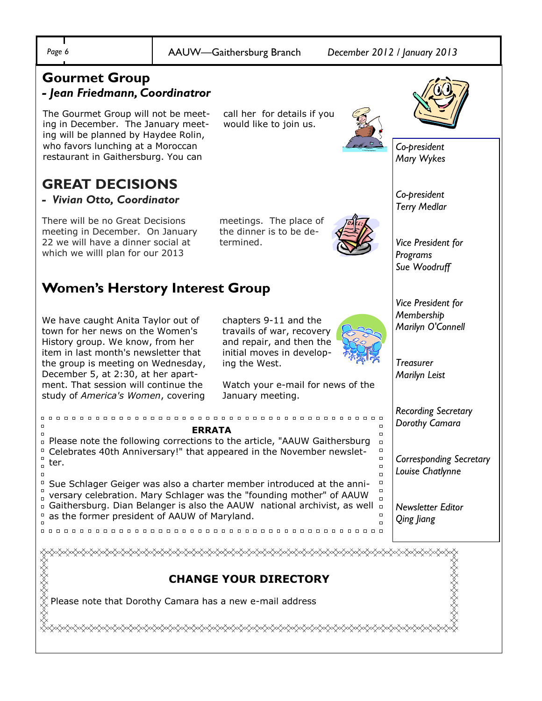\$\$\$\$\$\$\$\$

#### **Gourmet Group** *- Jean Friedmann, Coordinatror*

The Gourmet Group will not be meeting in December. The January meeting will be planned by Haydee Rolin, who favors lunching at a Moroccan restaurant in Gaithersburg. You can

### **GREAT DECISIONS**

*- Vivian Otto, Coordinator* 

There will be no Great Decisions meeting in December. On January 22 we will have a dinner social at which we willl plan for our 2013

### **Women's Herstory Interest Group**

We have caught Anita Taylor out of town for her news on the Women's History group. We know, from her item in last month's newsletter that the group is meeting on Wednesday, December 5, at 2:30, at her apartment. That session will continue the study of *America's Women*, covering

chapters 9-11 and the travails of war, recovery and repair, and then the initial moves in developing the West.

call her for details if you would like to join us.

meetings. The place of the dinner is to be de-

termined.

Watch your e-mail for news of the January meeting.



#### **CHANGE YOUR DIRECTORY**

Please note that Dorothy Camara has a new e-mail address

«</sup>



*Co-president Mary Wykes*

*Co-president Terry Medlar*

*Vice President for Programs Sue Woodruff*

*Vice President for Membership Marilyn O'Connell*

*Treasurer Marilyn Leist*

*Recording Secretary Dorothy Camara*

*Corresponding Secretary Louise Chatlynne*

*Newsletter Editor Qing Jiang*